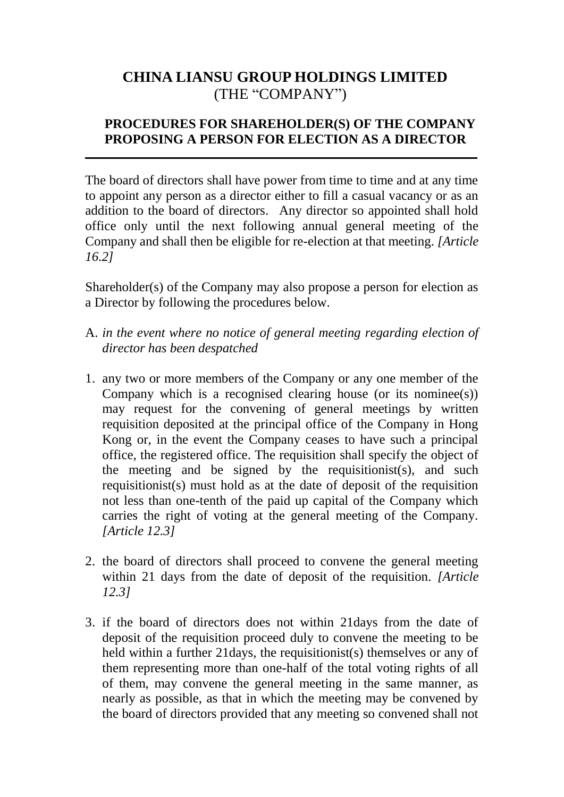## **CHINA LIANSU GROUP HOLDINGS LIMITED** (THE "COMPANY")

## **PROCEDURES FOR SHAREHOLDER(S) OF THE COMPANY PROPOSING A PERSON FOR ELECTION AS A DIRECTOR**

\_\_\_\_\_\_\_\_\_\_\_\_\_\_\_\_\_\_\_\_\_\_\_\_\_\_\_\_\_\_\_\_\_\_\_\_\_\_\_\_\_\_\_\_\_\_\_\_\_\_\_\_\_\_\_\_\_\_\_\_\_\_\_\_\_\_\_\_\_

The board of directors shall have power from time to time and at any time to appoint any person as a director either to fill a casual vacancy or as an addition to the board of directors. Any director so appointed shall hold office only until the next following annual general meeting of the Company and shall then be eligible for re-election at that meeting. *[Article 16.2]*

Shareholder(s) of the Company may also propose a person for election as a Director by following the procedures below.

- A. *in the event where no notice of general meeting regarding election of director has been despatched*
- 1. any two or more members of the Company or any one member of the Company which is a recognised clearing house (or its nominee(s)) may request for the convening of general meetings by written requisition deposited at the principal office of the Company in Hong Kong or, in the event the Company ceases to have such a principal office, the registered office. The requisition shall specify the object of the meeting and be signed by the requisitionist(s), and such requisitionist(s) must hold as at the date of deposit of the requisition not less than one-tenth of the paid up capital of the Company which carries the right of voting at the general meeting of the Company. *[Article 12.3]*
- 2. the board of directors shall proceed to convene the general meeting within 21 days from the date of deposit of the requisition. *[Article 12.3]*
- 3. if the board of directors does not within 21days from the date of deposit of the requisition proceed duly to convene the meeting to be held within a further 21days, the requisitionist(s) themselves or any of them representing more than one-half of the total voting rights of all of them, may convene the general meeting in the same manner, as nearly as possible, as that in which the meeting may be convened by the board of directors provided that any meeting so convened shall not